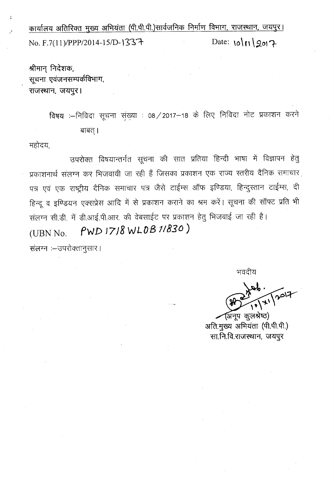<u>कार्यालय अतिरिक्त मुख्य अभियंता (पी.पी.पी.)सार्वजनिक निर्माण विभाग, राजस्थान, जयपुर।</u> No. F.7(11)/PPP/2014-15/D-1337 Date:  $\sqrt{2017}$ 

श्रीमान् निदेशक, *सूचना* एवंजनसम्पर्कविभाग, राजस्थान, जयपुर।

> विषय :--निविदा सूचना संख्या : 08 / 2017-18 के लिए निविदा नोट प्रकाशन करने बाबत् ।

महोदय,

उपरोक्त विषयान्तर्गत सूचना की सात प्रतिया हिन्दी भाषा में विज्ञापन हेतु प्रकाशनार्थ संलग्न कर भिजवायी जा रही हैं जिसका प्रकाशन एक राज्य स्तरीय दैनिक समाचार पत्र एवं एक राष्ट्रीय दैनिक समाचार पत्र जैसे टाईम्स ऑफ इण्डिया, हिन्दुस्तान टाईम्स, दी हिन्दू व इण्डियन एक्सप्रेस आदि में से प्रकाशन कराने का श्रम करें। सूचना की सॉफ्ट प्रति भी संलग्न सी.डी. में डी.आई.पी.आर. की वेबसाईट पर प्रकाशन हेतु भिजवाई जा रही है। (UBN No. **fWD** *J7J8 WLDB 1/830 )*संलग्न :- उपरोक्तानुसार।

भवदीय

(अनूप कूलश्रेष्ठ) अति.मुख्य अभियंता (पी.पी.पी.) सा.नि.वि.राजस्थान, जयपुर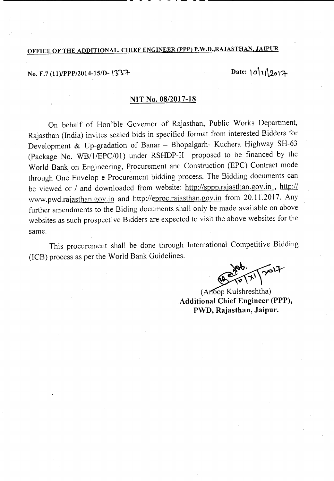# OFFICE OF THE ADDITIONAL. CHIEF ENGINEER (PPP) P.W.D.,RAJASTHAN, JAIPUR

No. F.7 (11)/PPP/2014-15/D-1337

----------------------------- - -

Date:  $|0|11|2017$ 

- - - - - - ---\_---------------------

### NIT No. *08/2017-18*

On behalf of Hori'ble Governor of Rajasthan, Public Works Department, Rajasthan (India) invites sealed bids in specified format from interested Bidders for Development & Up-gradation of Banar - Bhopalgarh- Kuchera Highway SH-63 (Package No. WB/1/EPC/01) under RSHDP-II proposed to be financed by the World Bank on Engineering, Procurement and Construction (EPC) Contract mode through One Envelop e-Procurement bidding process. The Bidding documents can be viewed or *1* and downloaded from website: http://sppp.rajasthan.gov.in , *http://* www.pwd.rajasthan.gov.in and http://eproc.rajasthan.gov.in from 20.11.2017. Any further amendments to the Biding documents shall only be made available on above websites as such prospective Bidders are expected to visit the above websites for the same.

This procurement shall be done through International Competitive Bidding (ICB) process as per the World Bank Guidelines.

 $\sqrt{2}$ 

(Anoop Kulshreshtha) Additional Chief Engineer (PPP), PWD, Rajasthan, Jaipur.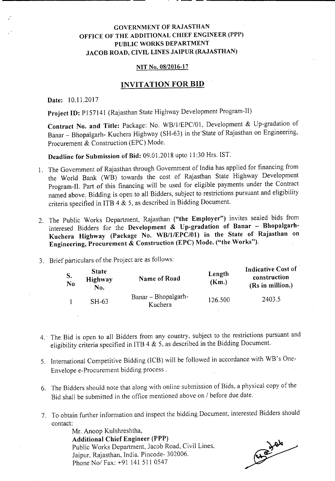## GOVERNMENT OF RAJASTHAN OFFICE OF THE ADDITIONAL CHIEF ENGINEER (PPP) PUBLIC WORKS DEPARTMENT JACOB ROAD, CIVIL LINES JAIPUR (RAJASTHAN)

- - - ---------------

#### NIT No. 08/2016-17

## INVITATION FOR **BID**

Date: 10.1l.2017

Project ID: P157141 (Rajasthan State Highway Development Program-II)

Contract No. and Title: Package: No. WB/1/EPC/01, Development & Up-gradation of Banar - Bhopalgarh- Kuchera Highway (SH-63) in the-State of Rajasthan on Engineering, Procurement & Construction (EPC) Mode.

Deadline for Submission of Bid: 09.0l.2018 upto 11:30 Hrs. 1ST.

- 1. The Government of Rajasthan through Government of India has applied for financing from the World Bank (WB) towards the cost of Rajasthan State Highway Development Program-II. Part of this financing will be used for eligible payments under the Contract named above: Bidding is open to all Bidders, subject to restrictions pursuant and eligibility criteria specified in ITB 4 & 5, as described in Bidding Document.
- 2. The Public Works Department, Rajasthan ("the Employer") invites sealed bids from interesed Bidders for the Development & Up-gradation of Banar - Bhopalgarh-Kuchera Highway (Package No. WB/1/EPC/01) in the State of Rajasthan on Engineering, Procurement & Construction (EPC) Mode. ("the Works").
- 3. Brief particulars of the Project are as follows:

| S.<br>N <sub>0</sub> | <b>State</b><br>Highway<br>No. | Name of Road                   | Length<br>(Km.) | Indicative Cost of<br>construction<br>(Rs in million.) |
|----------------------|--------------------------------|--------------------------------|-----------------|--------------------------------------------------------|
|                      | $SH-63$                        | Banar – Bhopalgarh-<br>Kuchera | 126.500         | 2403.5                                                 |

- 4.· The Bid is open to all Bidders from any country, subject to the restrictions pursuant and eligibility criteria specified in ITB 4 & 5, as described in the Bidding Document.
- 5. International Competitive Bidding (ICB) will be followed in accordance with WB's One-Envelope e-Procurement bidding process.
- 6. The Bidders should note that along with online submission of Bids, a physical copy of the Bid shall be submitted in the office mentioned above on *I* before due date.
- 7. To obtain further information and inspect the bidding Document; interested Bidders should contact:

Mr. Anoop Kulshreshtha, Additional Chief Engineer (PPP) Public Works Department, Jacob Road, Civil Lines, Jaipur, Rajasthan, India. Pincode- 302006. Phone No/ Fax: +91 141 511 0547

118 104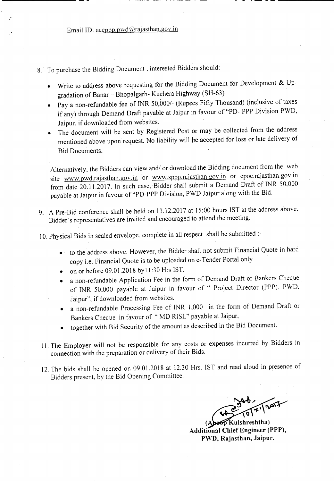- 8. To purchase the Bidding Document, interested Bidders should:
	- Write to address above requesting for the Bidding Document for Development & Upgradation of Banar - Bhopalgarh- Kuchera Highway (SH-63)
	- Pay a non-refundable fee of INR *50,0001-* (Rupees Fifty Thousand) (inclusive of taxes if any) through Demand Draft payable at Jaipur in favour of "PD- PPP Division PWD, Jaipur, if downloaded from websites.
	- The document will be sent by Registered Post or may be collected from the address mentioned above upon request. No liability will be accepted for loss or late delivery of Bid Documents.

Alternatively, the Bidders can view and/ or download the Bidding document from the web site www.pwd.rajasthan.gov.in or www.sppp.rajasthan.gov.in or epoc.rajasthan.gov.in from date 20.11.2017. In such case, Bidder shall submit a Demand Draft of INR 50,000 payable at Jaipur in favour of "PD-PPP Division, PWD Jaipur along with the Bid.

9. A Pre-Bid conference shall be held on 11.12.2017 at 15:00 hours 1ST at the address above. Bidder's representatives are invited and encouraged to attend the meeting.

10. Physical Bids in sealed envelope, complete in all respect, shall be submitted :-

- to the address above. However, the Bidder shall not submit Financial Quote in hard copy i.e. Financial Quote is to be uploaded on e-Tender Portal only
- on or before  $09.01.2018$  by  $11:30$  Hrs IST.
- a non-refundable Application Fee in the form of Demand Draft or Bankers Cheque of INR 50,000 payable at Jaipur in favour of " Project Director (PPP), PWD, Jaipur", if downloaded from websites.
- a non-refundable Processing Fee of INR 1,000 in the form of Demand Draft or Bankers Cheque in favour of " MD RISL" payable at Jaipur,
- together with Bid Security of the amount as described in the Bid Document.
- 11. The Employer will not be responsible for any costs or expenses incurred by Bidders in connection with the preparation or delivery of their Bids.
- 12. The bids shall be opened on 09.01.2018 at 12.30 Hrs. 1ST and read aloud in presence of Bidders present, by the Bid Opening Committee.

- - .\_---------

Kulshreshtha) **Additional Chief Engineer (PPP),** PWD, Rajasthan, Jaipur.